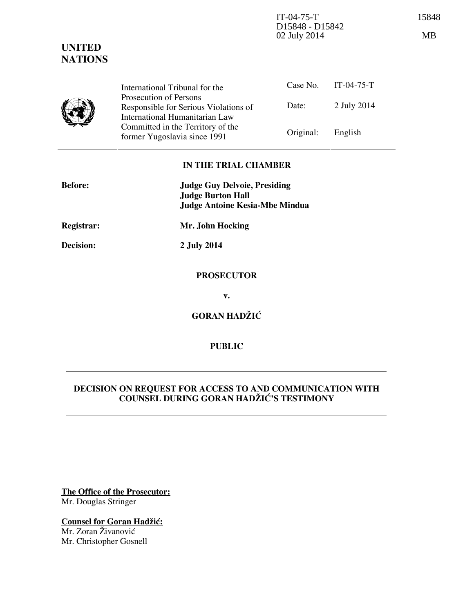IT-04-75-T 15848 D15848 - D15842 02 July 2014 MB

Case No. IT-04-75-T Date: 2 July 2014 International Tribunal for the Prosecution of Persons Responsible for Serious Violations of International Humanitarian Law Committed in the Territory of the Former Yugoslavia since 1991 Original: English

## **IN THE TRIAL CHAMBER**

| <b>Before:</b> | <b>Judge Guy Delvoie, Presiding</b><br><b>Judge Burton Hall</b><br><b>Judge Antoine Kesia-Mbe Mindua</b> |
|----------------|----------------------------------------------------------------------------------------------------------|
| Registrar:     | Mr. John Hocking                                                                                         |
| Decision:      | 2 July 2014                                                                                              |
|                | <b>PROSECUTOR</b>                                                                                        |
|                | v.                                                                                                       |
|                | <b>GORAN HADŽIĆ</b>                                                                                      |

**PUBLIC** 

# **DECISION ON REQUEST FOR ACCESS TO AND COMMUNICATION WITH COUNSEL DURING GORAN HAD@I]'S TESTIMONY**

**The Office of the Prosecutor:** Mr. Douglas Stringer

**Counsel for Goran Hadžić:** Mr. Zoran Živanović Mr. Christopher Gosnell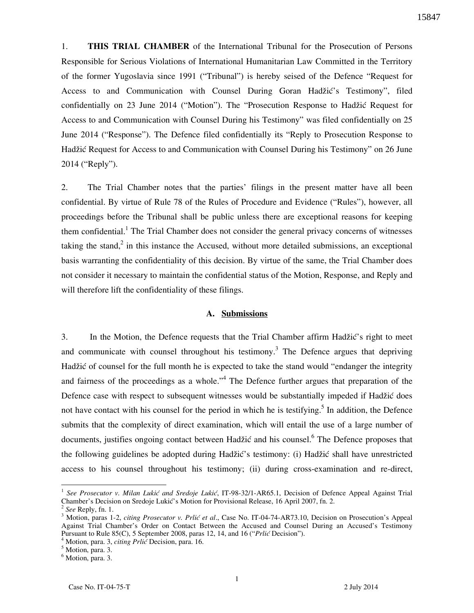1. **THIS TRIAL CHAMBER** of the International Tribunal for the Prosecution of Persons Responsible for Serious Violations of International Humanitarian Law Committed in the Territory of the former Yugoslavia since 1991 ("Tribunal") is hereby seised of the Defence "Request for Access to and Communication with Counsel During Goran Hadžić's Testimony", filed confidentially on 23 June 2014 ("Motion"). The "Prosecution Response to Hadžić Request for Access to and Communication with Counsel During his Testimony" was filed confidentially on 25 June 2014 ("Response"). The Defence filed confidentially its "Reply to Prosecution Response to Hadžić Request for Access to and Communication with Counsel During his Testimony" on 26 June 2014 ("Reply").

2. The Trial Chamber notes that the parties' filings in the present matter have all been confidential. By virtue of Rule 78 of the Rules of Procedure and Evidence ("Rules"), however, all proceedings before the Tribunal shall be public unless there are exceptional reasons for keeping them confidential.<sup>1</sup> The Trial Chamber does not consider the general privacy concerns of witnesses taking the stand,<sup>2</sup> in this instance the Accused, without more detailed submissions, an exceptional basis warranting the confidentiality of this decision. By virtue of the same, the Trial Chamber does not consider it necessary to maintain the confidential status of the Motion, Response, and Reply and will therefore lift the confidentiality of these filings.

#### **A. Submissions**

3. In the Motion, the Defence requests that the Trial Chamber affirm Hadžić's right to meet and communicate with counsel throughout his testimony.<sup>3</sup> The Defence argues that depriving Hadžić of counsel for the full month he is expected to take the stand would "endanger the integrity and fairness of the proceedings as a whole."<sup>4</sup> The Defence further argues that preparation of the Defence case with respect to subsequent witnesses would be substantially impeded if Hadžić does not have contact with his counsel for the period in which he is testifying.<sup>5</sup> In addition, the Defence submits that the complexity of direct examination, which will entail the use of a large number of documents, justifies ongoing contact between Hadžić and his counsel.<sup>6</sup> The Defence proposes that the following guidelines be adopted during Hadžić's testimony: (i) Hadžić shall have unrestricted access to his counsel throughout his testimony; (ii) during cross-examination and re-direct,

<sup>1</sup> *See Prosecutor v. Milan Lukić and Sredoje Lukić*, IT-98-32/1-AR65.1, Decision of Defence Appeal Against Trial Chamber's Decision on Sredoje Lukić's Motion for Provisional Release, 16 April 2007, fn. 2.

<sup>2</sup> *See* Reply, fn. 1.

<sup>&</sup>lt;sup>3</sup> Motion, paras 1-2, *citing Prosecutor v. Prlić et al.*, Case No. IT-04-74-AR73.10, Decision on Prosecution's Appeal Against Trial Chamber's Order on Contact Between the Accused and Counsel During an Accused's Testimony Pursuant to Rule 85(C), 5 September 2008, paras 12, 14, and 16 ("*Prlić Decision*").

<sup>&</sup>lt;sup>4</sup> Motion, para. 3, *citing Prlić* Decision, para. 16.

<sup>5</sup> Motion, para. 3.

<sup>&</sup>lt;sup>6</sup> Motion, para. 3.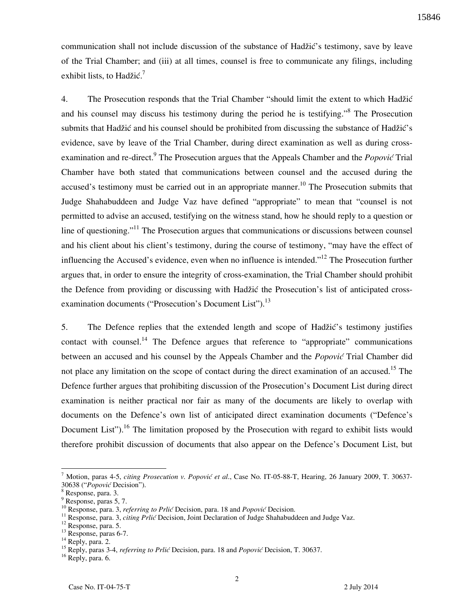communication shall not include discussion of the substance of Hadžić's testimony, save by leave of the Trial Chamber; and (iii) at all times, counsel is free to communicate any filings, including exhibit lists, to Hadžić.<sup>7</sup>

4. The Prosecution responds that the Trial Chamber "should limit the extent to which Hadžić and his counsel may discuss his testimony during the period he is testifying."<sup>8</sup> The Prosecution submits that Hadžić and his counsel should be prohibited from discussing the substance of Hadžić's evidence, save by leave of the Trial Chamber, during direct examination as well as during crossexamination and re-direct.<sup>9</sup> The Prosecution argues that the Appeals Chamber and the *Popović* Trial Chamber have both stated that communications between counsel and the accused during the accused's testimony must be carried out in an appropriate manner.<sup>10</sup> The Prosecution submits that Judge Shahabuddeen and Judge Vaz have defined "appropriate" to mean that "counsel is not permitted to advise an accused, testifying on the witness stand, how he should reply to a question or line of questioning."<sup>11</sup> The Prosecution argues that communications or discussions between counsel and his client about his client's testimony, during the course of testimony, "may have the effect of influencing the Accused's evidence, even when no influence is intended."<sup>12</sup> The Prosecution further argues that, in order to ensure the integrity of cross-examination, the Trial Chamber should prohibit the Defence from providing or discussing with Hadžić the Prosecution's list of anticipated crossexamination documents ("Prosecution's Document List").<sup>13</sup>

5. The Defence replies that the extended length and scope of Hadžić's testimony justifies contact with counsel.<sup>14</sup> The Defence argues that reference to "appropriate" communications between an accused and his counsel by the Appeals Chamber and the *Popović* Trial Chamber did not place any limitation on the scope of contact during the direct examination of an accused.<sup>15</sup> The Defence further argues that prohibiting discussion of the Prosecution's Document List during direct examination is neither practical nor fair as many of the documents are likely to overlap with documents on the Defence's own list of anticipated direct examination documents ("Defence's Document List").<sup>16</sup> The limitation proposed by the Prosecution with regard to exhibit lists would therefore prohibit discussion of documents that also appear on the Defence's Document List, but

<sup>&</sup>lt;sup>7</sup> Motion, paras 4-5, *citing Prosecution v. Popović et al.*, Case No. IT-05-88-T, Hearing, 26 January 2009, T. 30637-30638 ("Popović Decision").

<sup>8</sup> Response, para. 3.

<sup>9</sup> Response, paras 5, 7.

<sup>&</sup>lt;sup>10</sup> Response, para. 3, *referring to Prlić* Decision, para. 18 and *Popović* Decision.

<sup>&</sup>lt;sup>11</sup> Response, para. 3, *citing Prlić* Decision, Joint Declaration of Judge Shahabuddeen and Judge Vaz.

<sup>12</sup> Response, para. 5.

<sup>&</sup>lt;sup>13</sup> Response, paras 6-7.

<sup>&</sup>lt;sup>14</sup> Reply, para. 2.

<sup>&</sup>lt;sup>15</sup> Reply, paras 3-4, *referring to Prlić* Decision, para. 18 and *Popović* Decision, T. 30637.

<sup>&</sup>lt;sup>16</sup> Reply, para. 6.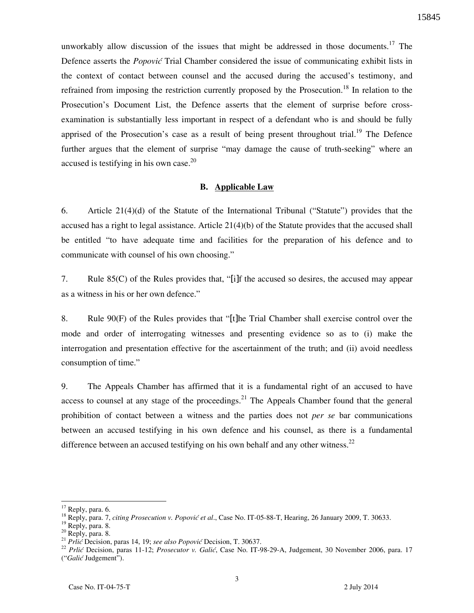unworkably allow discussion of the issues that might be addressed in those documents.<sup>17</sup> The Defence asserts the *Popović* Trial Chamber considered the issue of communicating exhibit lists in the context of contact between counsel and the accused during the accused's testimony, and refrained from imposing the restriction currently proposed by the Prosecution.<sup>18</sup> In relation to the Prosecution's Document List, the Defence asserts that the element of surprise before crossexamination is substantially less important in respect of a defendant who is and should be fully apprised of the Prosecution's case as a result of being present throughout trial.<sup>19</sup> The Defence further argues that the element of surprise "may damage the cause of truth-seeking" where an accused is testifying in his own case.<sup>20</sup>

### **B. Applicable Law**

6. Article 21(4)(d) of the Statute of the International Tribunal ("Statute") provides that the accused has a right to legal assistance. Article 21(4)(b) of the Statute provides that the accused shall be entitled "to have adequate time and facilities for the preparation of his defence and to communicate with counsel of his own choosing."

7. Rule 85(C) of the Rules provides that, "[i]f the accused so desires, the accused may appear as a witness in his or her own defence."

8. Rule 90(F) of the Rules provides that "[t]he Trial Chamber shall exercise control over the mode and order of interrogating witnesses and presenting evidence so as to (i) make the interrogation and presentation effective for the ascertainment of the truth; and (ii) avoid needless consumption of time."

9. The Appeals Chamber has affirmed that it is a fundamental right of an accused to have access to counsel at any stage of the proceedings.<sup>21</sup> The Appeals Chamber found that the general prohibition of contact between a witness and the parties does not *per se* bar communications between an accused testifying in his own defence and his counsel, as there is a fundamental difference between an accused testifying on his own behalf and any other witness.<sup>22</sup>

Reply, para. 6.

<sup>&</sup>lt;sup>18</sup> Reply, para. 7, *citing Prosecution v. Popović et al.*, Case No. IT-05-88-T, Hearing, 26 January 2009, T. 30633.

<sup>&</sup>lt;sup>19</sup> Reply, para. 8.

 $20$  Reply, para. 8.

<sup>&</sup>lt;sup>21</sup> *Prlić* Decision, paras 14, 19; see also Popović Decision, T. 30637.

<sup>&</sup>lt;sup>22</sup> *Prlić Decision, paras 11-12; Prosecutor v. Galić, Case No. IT-98-29-A, Judgement, 30 November 2006, para. 17* ("Galić Judgement").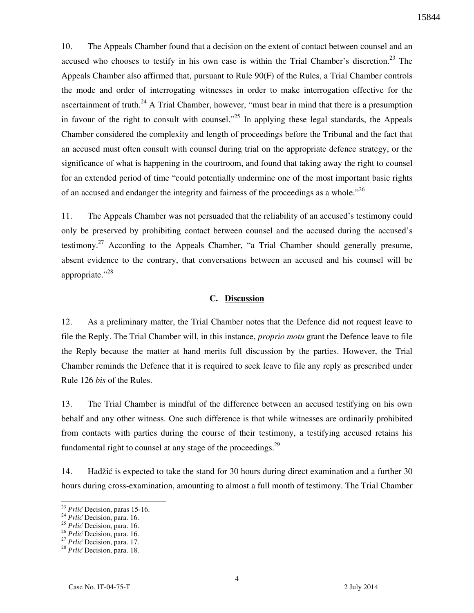10. The Appeals Chamber found that a decision on the extent of contact between counsel and an accused who chooses to testify in his own case is within the Trial Chamber's discretion.<sup>23</sup> The Appeals Chamber also affirmed that, pursuant to Rule 90(F) of the Rules, a Trial Chamber controls the mode and order of interrogating witnesses in order to make interrogation effective for the ascertainment of truth.<sup>24</sup> A Trial Chamber, however, "must bear in mind that there is a presumption in favour of the right to consult with counsel.<sup> $25$ </sup> In applying these legal standards, the Appeals Chamber considered the complexity and length of proceedings before the Tribunal and the fact that an accused must often consult with counsel during trial on the appropriate defence strategy, or the significance of what is happening in the courtroom, and found that taking away the right to counsel for an extended period of time "could potentially undermine one of the most important basic rights of an accused and endanger the integrity and fairness of the proceedings as a whole."<sup>26</sup>

11. The Appeals Chamber was not persuaded that the reliability of an accused's testimony could only be preserved by prohibiting contact between counsel and the accused during the accused's testimony.<sup>27</sup> According to the Appeals Chamber, "a Trial Chamber should generally presume, absent evidence to the contrary, that conversations between an accused and his counsel will be appropriate."<sup>28</sup>

### **C. Discussion**

12. As a preliminary matter, the Trial Chamber notes that the Defence did not request leave to file the Reply. The Trial Chamber will, in this instance, *proprio motu* grant the Defence leave to file the Reply because the matter at hand merits full discussion by the parties. However, the Trial Chamber reminds the Defence that it is required to seek leave to file any reply as prescribed under Rule 126 *bis* of the Rules.

13. The Trial Chamber is mindful of the difference between an accused testifying on his own behalf and any other witness. One such difference is that while witnesses are ordinarily prohibited from contacts with parties during the course of their testimony, a testifying accused retains his fundamental right to counsel at any stage of the proceedings. $^{29}$ 

14. Hadžić is expected to take the stand for 30 hours during direct examination and a further 30 hours during cross-examination, amounting to almost a full month of testimony. The Trial Chamber

<sup>&</sup>lt;sup>23</sup> *Prlić* Decision, paras 15-16.

<sup>&</sup>lt;sup>24</sup> *Prlić* Decision, para. 16.

<sup>&</sup>lt;sup>25</sup> *Prlić* Decision, para. 16.

<sup>&</sup>lt;sup>26</sup> *Prlić* Decision, para. 16.

<sup>&</sup>lt;sup>27</sup> *Prlić* Decision, para. 17.

<sup>&</sup>lt;sup>28</sup> *Prlić* Decision, para. 18.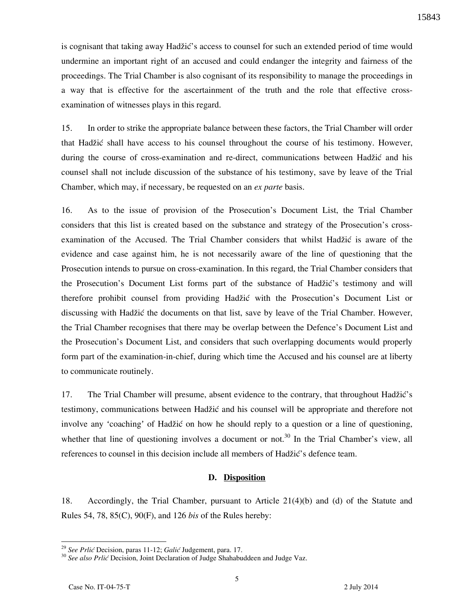is cognisant that taking away Hadžić's access to counsel for such an extended period of time would undermine an important right of an accused and could endanger the integrity and fairness of the proceedings. The Trial Chamber is also cognisant of its responsibility to manage the proceedings in a way that is effective for the ascertainment of the truth and the role that effective crossexamination of witnesses plays in this regard.

15. In order to strike the appropriate balance between these factors, the Trial Chamber will order that Hadžić shall have access to his counsel throughout the course of his testimony. However, during the course of cross-examination and re-direct, communications between Hadžić and his counsel shall not include discussion of the substance of his testimony, save by leave of the Trial Chamber, which may, if necessary, be requested on an *ex parte* basis.

16. As to the issue of provision of the Prosecution's Document List, the Trial Chamber considers that this list is created based on the substance and strategy of the Prosecution's crossexamination of the Accused. The Trial Chamber considers that whilst Hadžić is aware of the evidence and case against him, he is not necessarily aware of the line of questioning that the Prosecution intends to pursue on cross-examination. In this regard, the Trial Chamber considers that the Prosecution's Document List forms part of the substance of Hadžić's testimony and will therefore prohibit counsel from providing Hadžić with the Prosecution's Document List or discussing with Hadžić the documents on that list, save by leave of the Trial Chamber. However, the Trial Chamber recognises that there may be overlap between the Defence's Document List and the Prosecution's Document List, and considers that such overlapping documents would properly form part of the examination-in-chief, during which time the Accused and his counsel are at liberty to communicate routinely.

17. The Trial Chamber will presume, absent evidence to the contrary, that throughout Hadžić's testimony, communications between Hadžić and his counsel will be appropriate and therefore not involve any 'coaching' of Hadžić on how he should reply to a question or a line of questioning, whether that line of questioning involves a document or not.<sup>30</sup> In the Trial Chamber's view, all references to counsel in this decision include all members of Hadžić's defence team.

#### **D. Disposition**

18. Accordingly, the Trial Chamber, pursuant to Article 21(4)(b) and (d) of the Statute and Rules 54, 78, 85(C), 90(F), and 126 *bis* of the Rules hereby:

<sup>&</sup>lt;sup>29</sup> See Prlić Decision, paras 11-12; *Galić* Judgement, para. 17.

<sup>&</sup>lt;sup>30</sup> See also Prlić Decision, Joint Declaration of Judge Shahabuddeen and Judge Vaz.